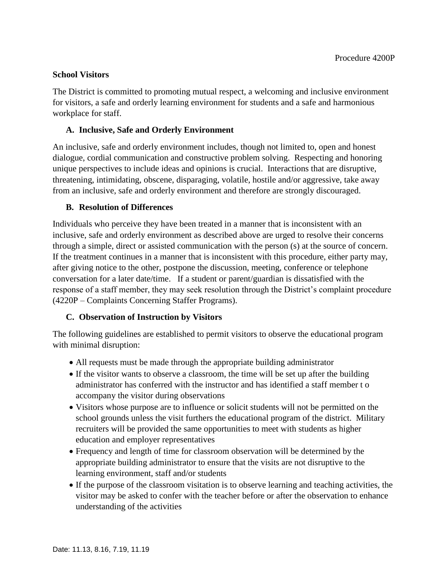### **School Visitors**

The District is committed to promoting mutual respect, a welcoming and inclusive environment for visitors, a safe and orderly learning environment for students and a safe and harmonious workplace for staff.

### **A. Inclusive, Safe and Orderly Environment**

An inclusive, safe and orderly environment includes, though not limited to, open and honest dialogue, cordial communication and constructive problem solving. Respecting and honoring unique perspectives to include ideas and opinions is crucial. Interactions that are disruptive, threatening, intimidating, obscene, disparaging, volatile, hostile and/or aggressive, take away from an inclusive, safe and orderly environment and therefore are strongly discouraged.

### **B. Resolution of Differences**

Individuals who perceive they have been treated in a manner that is inconsistent with an inclusive, safe and orderly environment as described above are urged to resolve their concerns through a simple, direct or assisted communication with the person (s) at the source of concern. If the treatment continues in a manner that is inconsistent with this procedure, either party may, after giving notice to the other, postpone the discussion, meeting, conference or telephone conversation for a later date/time. If a student or parent/guardian is dissatisfied with the response of a staff member, they may seek resolution through the District's complaint procedure (4220P – Complaints Concerning Staffer Programs).

# **C. Observation of Instruction by Visitors**

The following guidelines are established to permit visitors to observe the educational program with minimal disruption:

- All requests must be made through the appropriate building administrator
- If the visitor wants to observe a classroom, the time will be set up after the building administrator has conferred with the instructor and has identified a staff member t o accompany the visitor during observations
- Visitors whose purpose are to influence or solicit students will not be permitted on the school grounds unless the visit furthers the educational program of the district. Military recruiters will be provided the same opportunities to meet with students as higher education and employer representatives
- Frequency and length of time for classroom observation will be determined by the appropriate building administrator to ensure that the visits are not disruptive to the learning environment, staff and/or students
- If the purpose of the classroom visitation is to observe learning and teaching activities, the visitor may be asked to confer with the teacher before or after the observation to enhance understanding of the activities